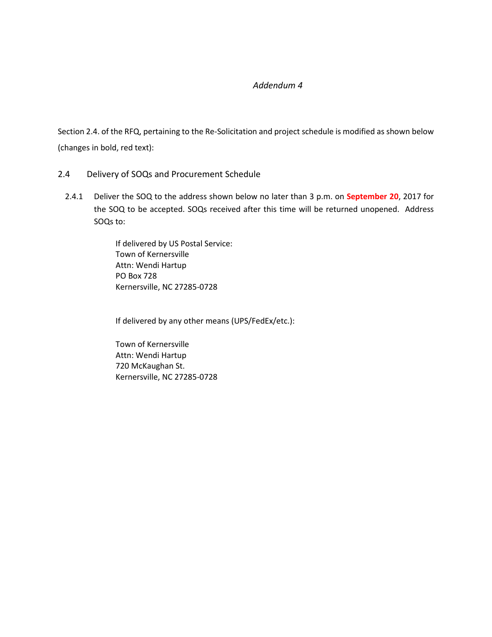## *Addendum 4*

Section 2.4. of the RFQ, pertaining to the Re-Solicitation and project schedule is modified as shown below (changes in bold, red text):

- 2.4 Delivery of SOQs and Procurement Schedule
	- 2.4.1 Deliver the SOQ to the address shown below no later than 3 p.m. on **September 20**, 2017 for the SOQ to be accepted. SOQs received after this time will be returned unopened. Address SOQs to:

If delivered by US Postal Service: Town of Kernersville Attn: Wendi Hartup PO Box 728 Kernersville, NC 27285-0728

If delivered by any other means (UPS/FedEx/etc.):

Town of Kernersville Attn: Wendi Hartup 720 McKaughan St. Kernersville, NC 27285-0728